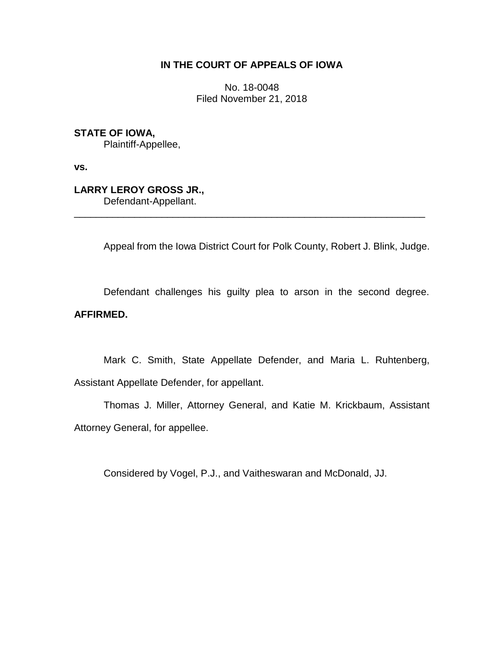## **IN THE COURT OF APPEALS OF IOWA**

No. 18-0048 Filed November 21, 2018

**STATE OF IOWA,**

Plaintiff-Appellee,

**vs.**

**LARRY LEROY GROSS JR.,**

Defendant-Appellant.

Appeal from the Iowa District Court for Polk County, Robert J. Blink, Judge.

Defendant challenges his guilty plea to arson in the second degree. **AFFIRMED.**

\_\_\_\_\_\_\_\_\_\_\_\_\_\_\_\_\_\_\_\_\_\_\_\_\_\_\_\_\_\_\_\_\_\_\_\_\_\_\_\_\_\_\_\_\_\_\_\_\_\_\_\_\_\_\_\_\_\_\_\_\_\_\_\_

Mark C. Smith, State Appellate Defender, and Maria L. Ruhtenberg, Assistant Appellate Defender, for appellant.

Thomas J. Miller, Attorney General, and Katie M. Krickbaum, Assistant Attorney General, for appellee.

Considered by Vogel, P.J., and Vaitheswaran and McDonald, JJ.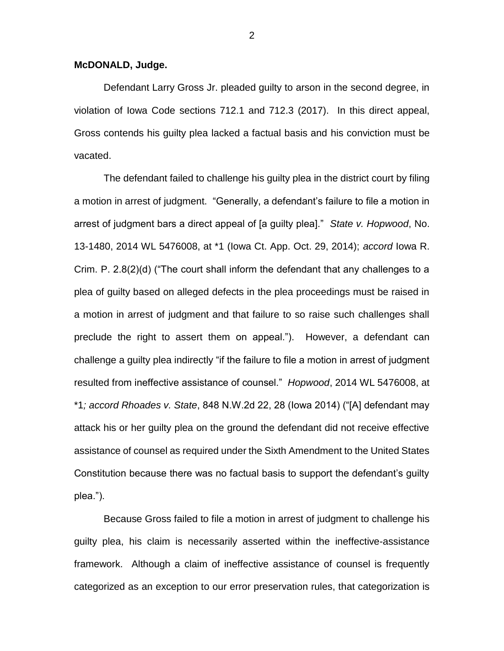## **McDONALD, Judge.**

Defendant Larry Gross Jr. pleaded guilty to arson in the second degree, in violation of Iowa Code sections 712.1 and 712.3 (2017). In this direct appeal, Gross contends his guilty plea lacked a factual basis and his conviction must be vacated.

The defendant failed to challenge his guilty plea in the district court by filing a motion in arrest of judgment. "Generally, a defendant's failure to file a motion in arrest of judgment bars a direct appeal of [a guilty plea]." *State v. Hopwood*, No. 13-1480, 2014 WL 5476008, at \*1 (Iowa Ct. App. Oct. 29, 2014); *accord* Iowa R. Crim. P. 2.8(2)(d) ("The court shall inform the defendant that any challenges to a plea of guilty based on alleged defects in the plea proceedings must be raised in a motion in arrest of judgment and that failure to so raise such challenges shall preclude the right to assert them on appeal."). However, a defendant can challenge a guilty plea indirectly "if the failure to file a motion in arrest of judgment resulted from ineffective assistance of counsel." *Hopwood*, 2014 WL 5476008, at \*1*; accord Rhoades v. State*, 848 N.W.2d 22, 28 (Iowa 2014) ("[A] defendant may attack his or her guilty plea on the ground the defendant did not receive effective assistance of counsel as required under the Sixth Amendment to the United States Constitution because there was no factual basis to support the defendant's guilty plea.").

Because Gross failed to file a motion in arrest of judgment to challenge his guilty plea, his claim is necessarily asserted within the ineffective-assistance framework. Although a claim of ineffective assistance of counsel is frequently categorized as an exception to our error preservation rules, that categorization is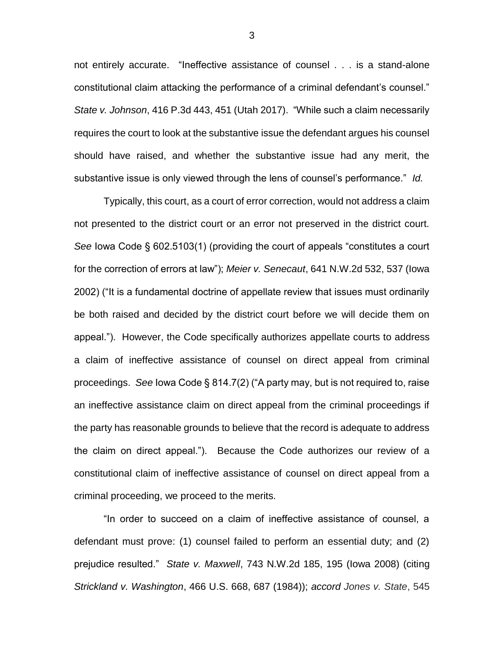not entirely accurate. "Ineffective assistance of counsel . . . is a stand-alone constitutional claim attacking the performance of a criminal defendant's counsel." *State v. Johnson*, 416 P.3d 443, 451 (Utah 2017). "While such a claim necessarily requires the court to look at the substantive issue the defendant argues his counsel should have raised, and whether the substantive issue had any merit, the substantive issue is only viewed through the lens of counsel's performance." *Id.*

Typically, this court, as a court of error correction, would not address a claim not presented to the district court or an error not preserved in the district court. *See* Iowa Code § 602.5103(1) (providing the court of appeals "constitutes a court for the correction of errors at law"); *Meier v. Senecaut*, 641 N.W.2d 532, 537 (Iowa 2002) ("It is a fundamental doctrine of appellate review that issues must ordinarily be both raised and decided by the district court before we will decide them on appeal."). However, the Code specifically authorizes appellate courts to address a claim of ineffective assistance of counsel on direct appeal from criminal proceedings. *See* Iowa Code § 814.7(2) ("A party may, but is not required to, raise an ineffective assistance claim on direct appeal from the criminal proceedings if the party has reasonable grounds to believe that the record is adequate to address the claim on direct appeal."). Because the Code authorizes our review of a constitutional claim of ineffective assistance of counsel on direct appeal from a criminal proceeding, we proceed to the merits.

"In order to succeed on a claim of ineffective assistance of counsel, a defendant must prove: (1) counsel failed to perform an essential duty; and (2) prejudice resulted." *State v. Maxwell*, 743 N.W.2d 185, 195 (Iowa 2008) (citing *Strickland v. Washington*, 466 U.S. 668, 687 (1984)); *accord Jones v. State*, 545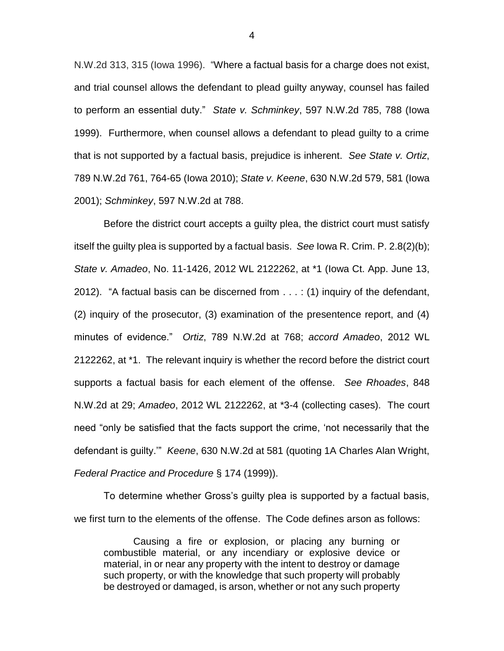N.W.2d 313, 315 (Iowa 1996). "Where a factual basis for a charge does not exist, and trial counsel allows the defendant to plead guilty anyway, counsel has failed to perform an essential duty." *State v. Schminkey*, 597 N.W.2d 785, 788 (Iowa 1999). Furthermore, when counsel allows a defendant to plead guilty to a crime that is not supported by a factual basis, prejudice is inherent. *See State v. Ortiz*, 789 N.W.2d 761, 764-65 (Iowa 2010); *State v. Keene*, 630 N.W.2d 579, 581 (Iowa 2001); *Schminkey*, 597 N.W.2d at 788.

Before the district court accepts a guilty plea, the district court must satisfy itself the guilty plea is supported by a factual basis. *See* Iowa R. Crim. P. 2.8(2)(b); *State v. Amadeo*, No. 11-1426, 2012 WL 2122262, at \*1 (Iowa Ct. App. June 13, 2012). "A factual basis can be discerned from . . . : (1) inquiry of the defendant, (2) inquiry of the prosecutor, (3) examination of the presentence report, and (4) minutes of evidence." *Ortiz*, 789 N.W.2d at 768; *accord Amadeo*, 2012 WL 2122262, at \*1. The relevant inquiry is whether the record before the district court supports a factual basis for each element of the offense. *See Rhoades*, 848 N.W.2d at 29; *Amadeo*, 2012 WL 2122262, at \*3-4 (collecting cases). The court need "only be satisfied that the facts support the crime, 'not necessarily that the defendant is guilty.'" *Keene*, 630 N.W.2d at 581 (quoting 1A Charles Alan Wright, *Federal Practice and Procedure* § 174 (1999)).

To determine whether Gross's guilty plea is supported by a factual basis, we first turn to the elements of the offense. The Code defines arson as follows:

Causing a fire or explosion, or placing any burning or combustible material, or any incendiary or explosive device or material, in or near any property with the intent to destroy or damage such property, or with the knowledge that such property will probably be destroyed or damaged, is arson, whether or not any such property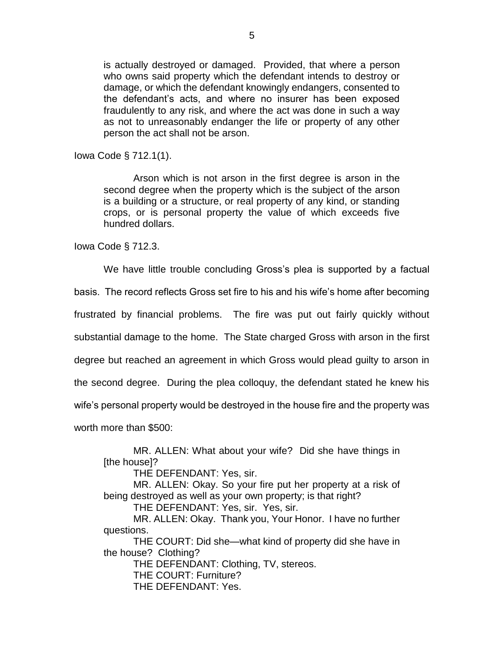is actually destroyed or damaged. Provided, that where a person who owns said property which the defendant intends to destroy or damage, or which the defendant knowingly endangers, consented to the defendant's acts, and where no insurer has been exposed fraudulently to any risk, and where the act was done in such a way as not to unreasonably endanger the life or property of any other person the act shall not be arson.

Iowa Code § 712.1(1).

Arson which is not arson in the first degree is arson in the second degree when the property which is the subject of the arson is a building or a structure, or real property of any kind, or standing crops, or is personal property the value of which exceeds five hundred dollars.

Iowa Code § 712.3.

We have little trouble concluding Gross's plea is supported by a factual

basis. The record reflects Gross set fire to his and his wife's home after becoming

frustrated by financial problems. The fire was put out fairly quickly without

substantial damage to the home. The State charged Gross with arson in the first

degree but reached an agreement in which Gross would plead guilty to arson in

the second degree. During the plea colloquy, the defendant stated he knew his

wife's personal property would be destroyed in the house fire and the property was

worth more than \$500:

MR. ALLEN: What about your wife? Did she have things in [the house]?

THE DEFENDANT: Yes, sir.

MR. ALLEN: Okay. So your fire put her property at a risk of being destroyed as well as your own property; is that right?

THE DEFENDANT: Yes, sir. Yes, sir.

MR. ALLEN: Okay. Thank you, Your Honor. I have no further questions.

THE COURT: Did she—what kind of property did she have in the house? Clothing?

THE DEFENDANT: Clothing, TV, stereos.

THE COURT: Furniture?

THE DEFENDANT: Yes.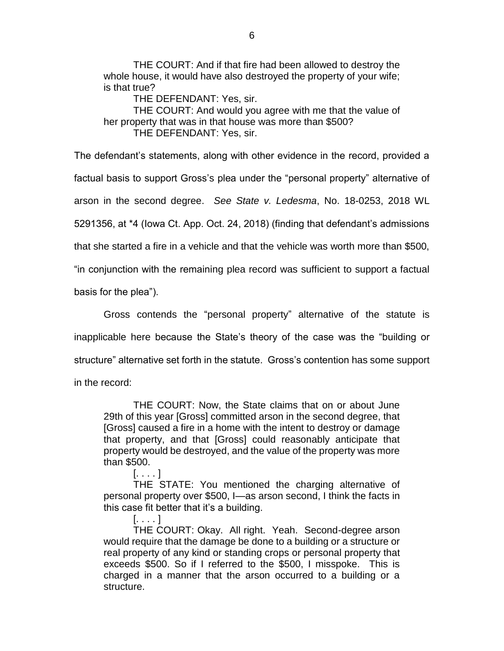THE COURT: And if that fire had been allowed to destroy the whole house, it would have also destroyed the property of your wife; is that true?

THE DEFENDANT: Yes, sir. THE COURT: And would you agree with me that the value of

her property that was in that house was more than \$500?

THE DEFENDANT: Yes, sir.

The defendant's statements, along with other evidence in the record, provided a factual basis to support Gross's plea under the "personal property" alternative of arson in the second degree. *See State v. Ledesma*, No. 18-0253, 2018 WL 5291356, at \*4 (Iowa Ct. App. Oct. 24, 2018) (finding that defendant's admissions that she started a fire in a vehicle and that the vehicle was worth more than \$500, "in conjunction with the remaining plea record was sufficient to support a factual

basis for the plea").

Gross contends the "personal property" alternative of the statute is inapplicable here because the State's theory of the case was the "building or structure" alternative set forth in the statute. Gross's contention has some support in the record:

THE COURT: Now, the State claims that on or about June 29th of this year [Gross] committed arson in the second degree, that [Gross] caused a fire in a home with the intent to destroy or damage that property, and that [Gross] could reasonably anticipate that property would be destroyed, and the value of the property was more than \$500.

[. . . . ]

THE STATE: You mentioned the charging alternative of personal property over \$500, I—as arson second, I think the facts in this case fit better that it's a building.

[. . . . ] THE COURT: Okay. All right. Yeah. Second-degree arson would require that the damage be done to a building or a structure or real property of any kind or standing crops or personal property that exceeds \$500. So if I referred to the \$500, I misspoke. This is charged in a manner that the arson occurred to a building or a structure.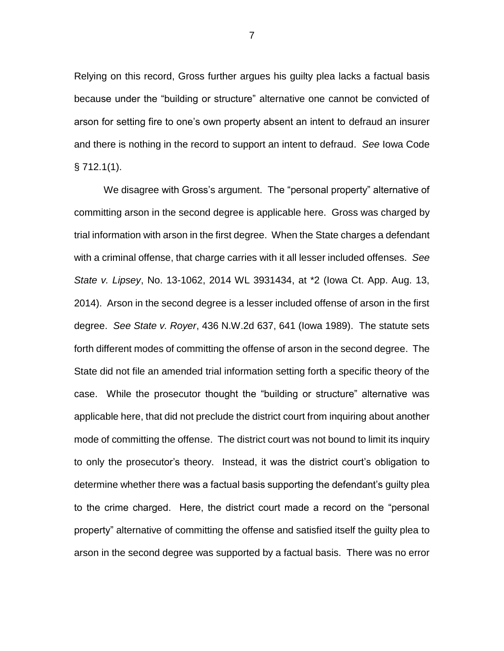Relying on this record, Gross further argues his guilty plea lacks a factual basis because under the "building or structure" alternative one cannot be convicted of arson for setting fire to one's own property absent an intent to defraud an insurer and there is nothing in the record to support an intent to defraud. *See* Iowa Code  $§ 712.1(1).$ 

We disagree with Gross's argument. The "personal property" alternative of committing arson in the second degree is applicable here. Gross was charged by trial information with arson in the first degree. When the State charges a defendant with a criminal offense, that charge carries with it all lesser included offenses. *See State v. Lipsey*, No. 13-1062, 2014 WL 3931434, at \*2 (Iowa Ct. App. Aug. 13, 2014). Arson in the second degree is a lesser included offense of arson in the first degree. *See State v. Royer*, 436 N.W.2d 637, 641 (Iowa 1989). The statute sets forth different modes of committing the offense of arson in the second degree. The State did not file an amended trial information setting forth a specific theory of the case. While the prosecutor thought the "building or structure" alternative was applicable here, that did not preclude the district court from inquiring about another mode of committing the offense. The district court was not bound to limit its inquiry to only the prosecutor's theory. Instead, it was the district court's obligation to determine whether there was a factual basis supporting the defendant's guilty plea to the crime charged. Here, the district court made a record on the "personal property" alternative of committing the offense and satisfied itself the guilty plea to arson in the second degree was supported by a factual basis. There was no error